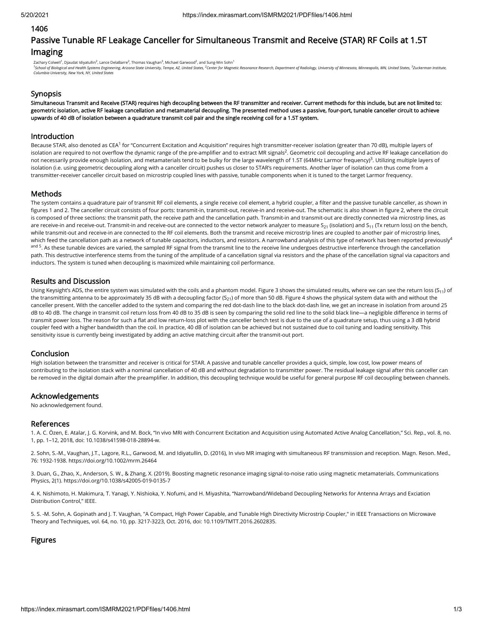### 1406

# Passive Tunable RF Leakage Canceller for Simultaneous Transmit and Receive (STAR) RF Coils at 1.5T Imaging

Zachary Colwell<sup>1</sup>, Djaudat Idiyatullin<sup>2</sup>, Lance DelaBarre<sup>2</sup>, Thomas Vaughan<sup>3</sup>, Michael Garwood<sup>2</sup>, and Sung-Min Sohn<sup>1</sup>

<sup>1</sup>School of Biological and Health Systems Engineering, Arizona State University, Tempe, AZ, United States, <sup>2</sup>Center for Magnetic Resonance Research, Department of Radiology, University of Minnesota, Minneapolis, MN, Unit *Columbia University, New York, NY, United States*

# **Synopsis**

Simultaneous Transmit and Receive (STAR) requires high decoupling between the RF transmitter and receiver. Current methods for this include, but are not limited to: geometric isolation, active RF leakage cancellation and metamaterial decoupling. The presented method uses a passive, four-port, tunable canceller circuit to achieve upwards of 40 dB of isolation between a quadrature transmit coil pair and the single receiving coil for a 1.5T system.

## Introduction

Because STAR, also denoted as CEA<sup>1</sup> for "Concurrent Excitation and Acquisition" requires high transmitter-receiver isolation (greater than 70 dB), multiple layers of isolation are required to not overflow the dynamic range of the pre-amplifier and to extract MR signals<sup>2</sup>. Geometric coil decoupling and active RF leakage cancellation do not necessarily provide enough isolation, and metamaterials tend to be bulky for the large wavelength of 1.5T (64MHz Larmor frequency)<sup>3</sup>. Utilizing multiple layers of isolation (i.e. using geometric decoupling along with a canceller circuit) pushes us closer to STAR's requirements. Another layer of isolation can thus come from a transmitter-receiver canceller circuit based on microstrip coupled lines with passive, tunable components when it is tuned to the target Larmor frequency.

# **Methods**

The system contains a quadrature pair of transmit RF coil elements, a single receive coil element, a hybrid coupler, a filter and the passive tunable canceller, as shown in figures 1 and 2. The canceller circuit consists of four ports: transmit-in, transmit-out, receive-in and receive-out. The schematic is also shown in figure 2, where the circuit is composed of three sections: the transmit path, the receive path and the cancellation path. Transmit-in and transmit-out are directly connected via microstrip lines, as are receive-in and receive-out. Transmit-in and receive-out are connected to the vector network analyzer to measure S $_{21}$  (isolation) and S $_{11}$  (Tx return loss) on the bench, while transmit-out and receive-in are connected to the RF coil elements. Both the transmit and receive microstrip lines are coupled to another pair of microstrip lines, which feed the cancellation path as a network of tunable capacitors, inductors, and resistors. A narrowband analysis of this type of network has been reported previously $^4$ <sup>and 5</sup>. As these tunable devices are varied, the sampled RF signal from the transmit line to the receive line undergoes destructive interference through the cancellation path. This destructive interference stems from the tuning of the amplitude of a cancellation signal via resistors and the phase of the cancellation signal via capacitors and inductors. The system is tuned when decoupling is maximized while maintaining coil performance.

## Results and Discussion

Using Keysight's ADS, the entire system was simulated with the coils and a phantom model. Figure 3 shows the simulated results, where we can see the return loss (S<sub>11</sub>) of the transmitting antenna to be approximately 35 dB with a decoupling factor (S<sub>21</sub>) of more than 50 dB. Figure 4 shows the physical system data with and without the canceller present. With the canceller added to the system and comparing the red dot-dash line to the black dot-dash line, we get an increase in isolation from around 25 dB to 40 dB. The change in transmit coil return loss from 40 dB to 35 dB is seen by comparing the solid red line to the solid black line—a negligible difference in terms of transmit power loss. The reason for such a flat and low return-loss plot with the canceller bench test is due to the use of a quadrature setup, thus using a 3 dB hybrid coupler feed with a higher bandwidth than the coil. In practice, 40 dB of isolation can be achieved but not sustained due to coil tuning and loading sensitivity. This sensitivity issue is currently being investigated by adding an active matching circuit after the transmit-out port.

# Conclusion

High isolation between the transmitter and receiver is critical for STAR. A passive and tunable canceller provides a quick, simple, low cost, low power means of contributing to the isolation stack with a nominal cancellation of 40 dB and without degradation to transmitter power. The residual leakage signal after this canceller can be removed in the digital domain after the preamplifier. In addition, this decoupling technique would be useful for general purpose RF coil decoupling between channels.

### Acknowledgements

No acknowledgement found.

### References

1. A. C. Özen, E. Atalar, J. G. Korvink, and M. Bock, "In vivo MRI with Concurrent Excitation and Acquisition using Automated Active Analog Cancellation," Sci. Rep., vol. 8, no. 1, pp. 1–12, 2018, doi: 10.1038/s41598-018-28894-w.

2. Sohn, S.‐M., Vaughan, J.T., Lagore, R.L., Garwood, M. and Idiyatullin, D. (2016), In vivo MR imaging with simultaneous RF transmission and reception. Magn. Reson. Med., 76: 1932-1938. https://doi.org/10.1002/mrm.26464

3. Duan, G., Zhao, X., Anderson, S. W., & Zhang, X. (2019). Boosting magnetic resonance imaging signal-to-noise ratio using magnetic metamaterials. Communications Physics, 2(1). https://doi.org/10.1038/s42005-019-0135-7

4. K. Nishimoto, H. Makimura, T. Yanagi, Y. Nishioka, Y. Nofumi, and H. Miyashita, "Narrowband/Wideband Decoupling Networks for Antenna Arrays and Exciation Distribution Control," IEEE.

5. S. -M. Sohn, A. Gopinath and J. T. Vaughan, "A Compact, High Power Capable, and Tunable High Directivity Microstrip Coupler," in IEEE Transactions on Microwave Theory and Techniques, vol. 64, no. 10, pp. 3217-3223, Oct. 2016, doi: 10.1109/TMTT.2016.2602835.

# Figures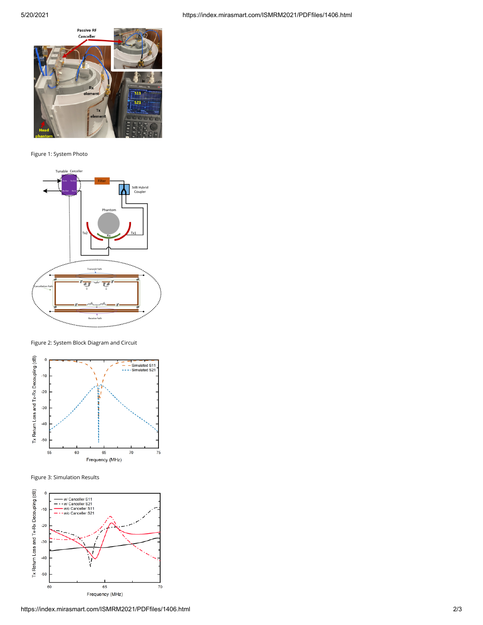

Figure 1: System Photo



Figure 2: System Block Diagram and Circuit



Figure 3: Simulation Results